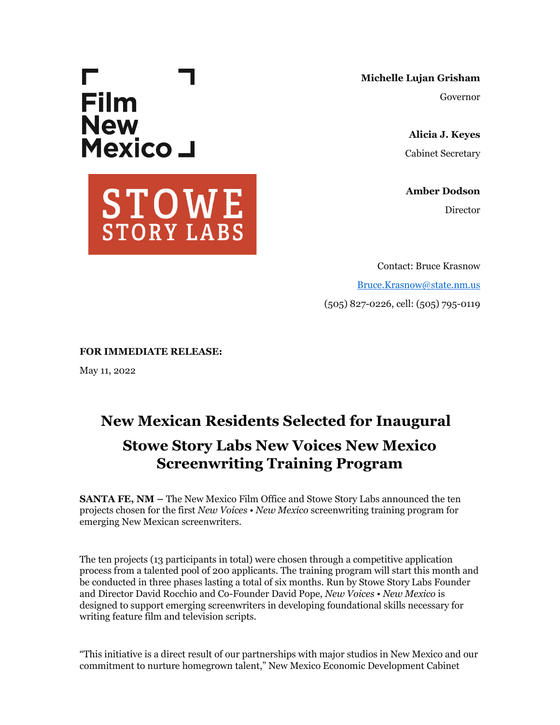# Г. **Film New** Mexico J



**Michelle Lujan Grisham** Governor

> **Alicia J. Keyes** Cabinet Secretary

**Amber Dodson** Director

Contact: Bruce Krasnow [Bruce.Krasnow@state.nm.us](mailto:Bruce.Krasnow@state.nm.us) (505) 827-0226, cell: (505) 795-0119

**FOR IMMEDIATE RELEASE:**

May 11, 2022

# **New Mexican Residents Selected for Inaugural**

# **Stowe Story Labs New Voices New Mexico Screenwriting Training Program**

**SANTA FE, NM –** The New Mexico Film Office and Stowe Story Labs announced the ten projects chosen for the first *New Voices • New Mexico* screenwriting training program for emerging New Mexican screenwriters.

The ten projects (13 participants in total) were chosen through a competitive application process from a talented pool of 200 applicants. The training program will start this month and be conducted in three phases lasting a total of six months. Run by Stowe Story Labs Founder and Director David Rocchio and Co-Founder David Pope, *New Voices • New Mexico* is designed to support emerging screenwriters in developing foundational skills necessary for writing feature film and television scripts.

"This initiative is a direct result of our partnerships with major studios in New Mexico and our commitment to nurture homegrown talent," New Mexico Economic Development Cabinet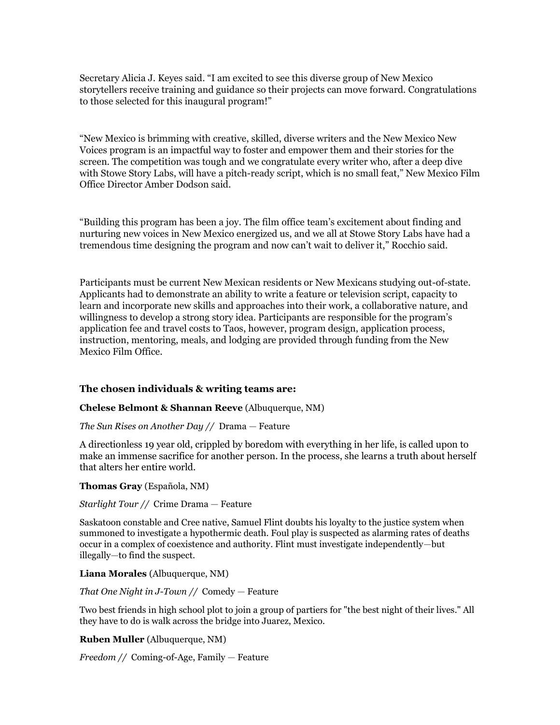Secretary Alicia J. Keyes said. "I am excited to see this diverse group of New Mexico storytellers receive training and guidance so their projects can move forward. Congratulations to those selected for this inaugural program!"

"New Mexico is brimming with creative, skilled, diverse writers and the New Mexico New Voices program is an impactful way to foster and empower them and their stories for the screen. The competition was tough and we congratulate every writer who, after a deep dive with Stowe Story Labs, will have a pitch-ready script, which is no small feat," New Mexico Film Office Director Amber Dodson said.

"Building this program has been a joy. The film office team's excitement about finding and nurturing new voices in New Mexico energized us, and we all at Stowe Story Labs have had a tremendous time designing the program and now can't wait to deliver it," Rocchio said.

Participants must be current New Mexican residents or New Mexicans studying out-of-state. Applicants had to demonstrate an ability to write a feature or television script, capacity to learn and incorporate new skills and approaches into their work, a collaborative nature, and willingness to develop a strong story idea. Participants are responsible for the program's application fee and travel costs to Taos, however, program design, application process, instruction, mentoring, meals, and lodging are provided through funding from the New Mexico Film Office.

### **The chosen individuals & writing teams are:**

#### **Chelese Belmont & Shannan Reeve** (Albuquerque, NM)

#### *The Sun Rises on Another Day //* Drama — Feature

A directionless 19 year old, crippled by boredom with everything in her life, is called upon to make an immense sacrifice for another person. In the process, she learns a truth about herself that alters her entire world.

#### **Thomas Gray** (Española, NM)

#### *Starlight Tour //* Crime Drama — Feature

Saskatoon constable and Cree native, Samuel Flint doubts his loyalty to the justice system when summoned to investigate a hypothermic death. Foul play is suspected as alarming rates of deaths occur in a complex of coexistence and authority. Flint must investigate independently—but illegally—to find the suspect.

#### **Liana Morales** (Albuquerque, NM)

#### *That One Night in J-Town //* Comedy — Feature

Two best friends in high school plot to join a group of partiers for "the best night of their lives." All they have to do is walk across the bridge into Juarez, Mexico.

#### **Ruben Muller** (Albuquerque, NM)

*Freedom //* Coming-of-Age, Family — Feature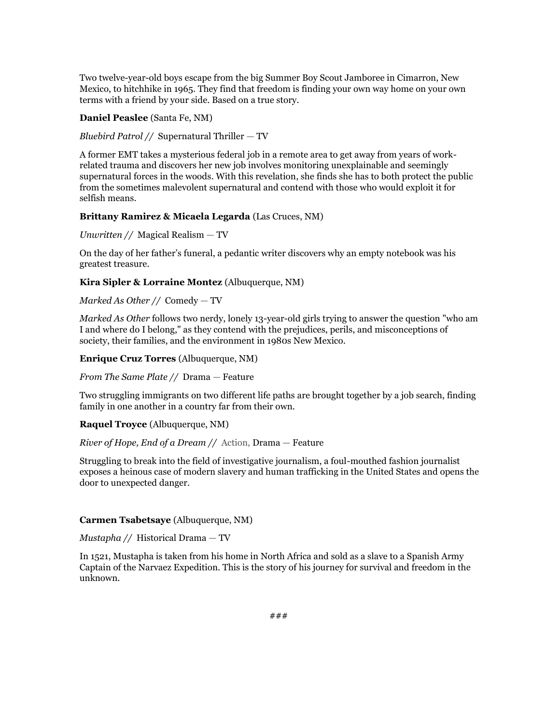Two twelve-year-old boys escape from the big Summer Boy Scout Jamboree in Cimarron, New Mexico, to hitchhike in 1965. They find that freedom is finding your own way home on your own terms with a friend by your side. Based on a true story.

#### **Daniel Peaslee** (Santa Fe, NM)

*Bluebird Patrol //* Supernatural Thriller — TV

A former EMT takes a mysterious federal job in a remote area to get away from years of workrelated trauma and discovers her new job involves monitoring unexplainable and seemingly supernatural forces in the woods. With this revelation, she finds she has to both protect the public from the sometimes malevolent supernatural and contend with those who would exploit it for selfish means.

#### **Brittany Ramirez & Micaela Legarda** (Las Cruces, NM)

*Unwritten //* Magical Realism — TV

On the day of her father's funeral, a pedantic writer discovers why an empty notebook was his greatest treasure.

#### **Kira Sipler & Lorraine Montez** (Albuquerque, NM)

#### *Marked As Other //* Comedy — TV

*Marked As Other* follows two nerdy, lonely 13-year-old girls trying to answer the question "who am I and where do I belong," as they contend with the prejudices, perils, and misconceptions of society, their families, and the environment in 1980s New Mexico.

#### **Enrique Cruz Torres** (Albuquerque, NM)

*From The Same Plate //* Drama — Feature

Two struggling immigrants on two different life paths are brought together by a job search, finding family in one another in a country far from their own.

#### **Raquel Troyce** (Albuquerque, NM)

*River of Hope, End of a Dream //* Action, Drama — Feature

Struggling to break into the field of investigative journalism, a foul-mouthed fashion journalist exposes a heinous case of modern slavery and human trafficking in the United States and opens the door to unexpected danger.

#### **Carmen Tsabetsaye** (Albuquerque, NM)

*Mustapha //* Historical Drama — TV

In 1521, Mustapha is taken from his home in North Africa and sold as a slave to a Spanish Army Captain of the Narvaez Expedition. This is the story of his journey for survival and freedom in the unknown.